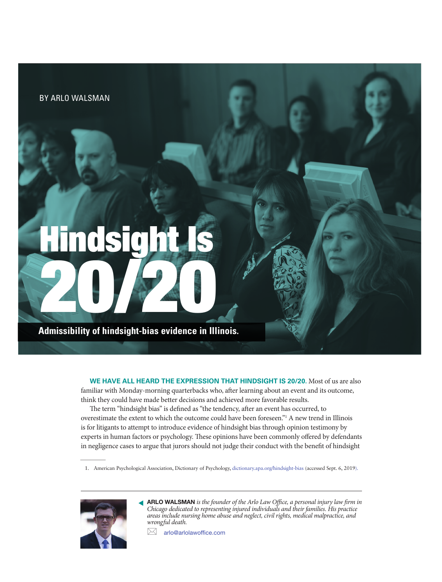BY ARLO WALSMAN

# Hindsight Is 20/20

**Admissibility of hindsight-bias evidence in Illinois.**

**WE HAVE ALL HEARD THE EXPRESSION THAT HINDSIGHT IS 20/20.** Most of us are also familiar with Monday-morning quarterbacks who, after learning about an event and its outcome, think they could have made better decisions and achieved more favorable results.

The term "hindsight bias" is defined as "the tendency, after an event has occurred, to overestimate the extent to which the outcome could have been foreseen."1 A new trend in Illinois is for litigants to attempt to introduce evidence of hindsight bias through opinion testimony by experts in human factors or psychology. These opinions have been commonly offered by defendants in negligence cases to argue that jurors should not judge their conduct with the benefit of hindsight

1. American Psychological Association, Dictionary of Psychology, [dictionary.apa.org/hindsight-bias](https://dictionary.apa.org/hindsight-bias) (accessed Sept. 6, 2019).



 $\overline{\phantom{a}}$ 

ARLO WALSMAN *is the founder of the Arlo Law Office, a personal injury law firm in Chicago dedicated to representing injured individuals and their families. His practice areas include nursing home abuse and neglect, civil rights, medical malpractice, and wrongful death.*  ▼

 $\boxtimes$  arlo@arlolawoffice.com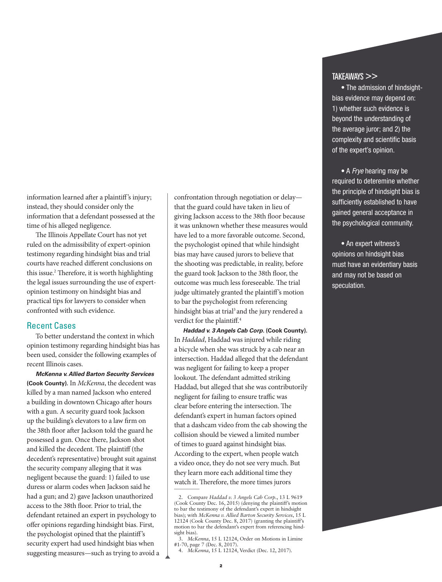information learned after a plaintiff's injury; instead, they should consider only the information that a defendant possessed at the time of his alleged negligence.

The Illinois Appellate Court has not yet ruled on the admissibility of expert-opinion testimony regarding hindsight bias and trial courts have reached different conclusions on this issue.<sup>2</sup> Therefore, it is worth highlighting the legal issues surrounding the use of expertopinion testimony on hindsight bias and practical tips for lawyers to consider when confronted with such evidence.

### Recent Cases

To better understand the context in which opinion testimony regarding hindsight bias has been used, consider the following examples of recent Illinois cases.

*McKenna v. Allied Barton Security Services* **(Cook County).** In *McKenna*, the decedent was killed by a man named Jackson who entered a building in downtown Chicago after hours with a gun. A security guard took Jackson up the building's elevators to a law firm on the 38th floor after Jackson told the guard he possessed a gun. Once there, Jackson shot and killed the decedent. The plaintiff (the decedent's representative) brought suit against the security company alleging that it was negligent because the guard: 1) failed to use duress or alarm codes when Jackson said he had a gun; and 2) gave Jackson unauthorized access to the 38th floor. Prior to trial, the defendant retained an expert in psychology to offer opinions regarding hindsight bias. First, the psychologist opined that the plaintiff's security expert had used hindsight bias when suggesting measures—such as trying to avoid a confrontation through negotiation or delay that the guard could have taken in lieu of giving Jackson access to the 38th floor because it was unknown whether these measures would have led to a more favorable outcome. Second, the psychologist opined that while hindsight bias may have caused jurors to believe that the shooting was predictable, in reality, before the guard took Jackson to the 38th floor, the outcome was much less foreseeable. The trial judge ultimately granted the plaintiff's motion to bar the psychologist from referencing hindsight bias at trial<sup>3</sup> and the jury rendered a verdict for the plaintiff.<sup>4</sup>

*Haddad v. 3 Angels Cab Corp.* **(Cook County).** In *Haddad*, Haddad was injured while riding a bicycle when she was struck by a cab near an intersection. Haddad alleged that the defendant was negligent for failing to keep a proper lookout. The defendant admitted striking Haddad, but alleged that she was contributorily negligent for failing to ensure traffic was clear before entering the intersection. The defendant's expert in human factors opined that a dashcam video from the cab showing the collision should be viewed a limited number of times to guard against hindsight bias. According to the expert, when people watch a video once, they do not see very much. But they learn more each additional time they watch it. Therefore, the more times jurors

## TAKEAWAYS >>

• The admission of hindsightbias evidence may depend on: 1) whether such evidence is beyond the understanding of the average juror; and 2) the complexity and scientific basis of the expert's opinion.

• A *Frye* hearing may be required to deteremine whether the principle of hindsight bias is sufficiently established to have gained general acceptance in the psychological community.

• An expert witness's opinions on hindsight bias must have an evidentiary basis and may not be based on speculation.

<sup>2.</sup> Compare *Haddad v. 3 Angels Cab Corp.*, 13 L 9619 (Cook County Dec. 16, 2015) (denying the plaintiff's motion to bar the testimony of the defendant's expert in hindsight bias); with *McKenna v. Allied Barton Security Services*, 15 L 12124 (Cook County Dec. 8, 2017) (granting the plaintiff's motion to bar the defendant's expert from referencing hindsight bias).

<sup>3.</sup> *McKenna*, 15 L 12124, Order on Motions in Limine #1-70, page 7 (Dec. 8, 2017).

<sup>4.</sup> *McKenna*, 15 L 12124, Verdict (Dec. 12, 2017).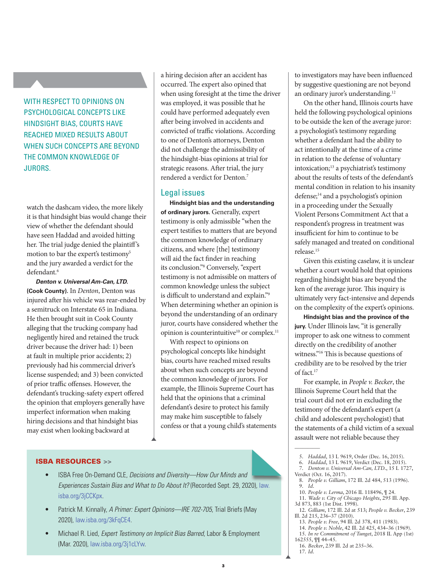# WITH RESPECT TO OPINIONS ON PSYCHOLOGICAL CONCEPTS LIKE HINDSIGHT BIAS, COURTS HAVE REACHED MIXED RESULTS ABOUT WHEN SUCH CONCEPTS ARE BEYOND THE COMMON KNOWLEDGE OF JURORS.

watch the dashcam video, the more likely it is that hindsight bias would change their view of whether the defendant should have seen Haddad and avoided hitting her. The trial judge denied the plaintiff's motion to bar the expert's testimony<sup>5</sup> and the jury awarded a verdict for the defendant.<sup>6</sup>

*Denton v. Universal Am-Can, LTD.* **(Cook County).** In *Denton*, Denton was injured after his vehicle was rear-ended by a semitruck on Interstate 65 in Indiana. He then brought suit in Cook County alleging that the trucking company had negligently hired and retained the truck driver because the driver had: 1) been at fault in multiple prior accidents; 2) previously had his commercial driver's license suspended; and 3) been convicted of prior traffic offenses. However, the defendant's trucking-safety expert offered the opinion that employers generally have imperfect information when making hiring decisions and that hindsight bias may exist when looking backward at

a hiring decision after an accident has occurred. The expert also opined that when using foresight at the time the driver was employed, it was possible that he could have performed adequately even after being involved in accidents and convicted of traffic violations. According to one of Denton's attorneys, Denton did not challenge the admissibility of the hindsight-bias opinions at trial for strategic reasons. After trial, the jury rendered a verdict for Denton.<sup>7</sup>

### Legal issues

**Hindsight bias and the understanding of ordinary jurors.** Generally, expert testimony is only admissible "when the expert testifies to matters that are beyond the common knowledge of ordinary citizens, and where [the] testimony will aid the fact finder in reaching its conclusion."8 Conversely, "expert testimony is not admissible on matters of common knowledge unless the subject is difficult to understand and explain."9 When determining whether an opinion is beyond the understanding of an ordinary juror, courts have considered whether the opinion is counterintuitive $10$  or complex.<sup>11</sup>

With respect to opinions on psychological concepts like hindsight bias, courts have reached mixed results about when such concepts are beyond the common knowledge of jurors. For example, the Illinois Supreme Court has held that the opinions that a criminal defendant's desire to protect his family may make him susceptible to falsely confess or that a young child's statements

### ISBA RESOURCES >>

- ISBA Free On-Demand CLE, *Decisions and Diversity—How Our Minds and [Experiences Sustain Bias and What to Do About It?](https://law.isba.org/3jCCKpx)* (Recorded Sept. 29, 2020), law. isba.org/3jCCKpx.
- Patrick M. Kinnally, *A Primer: Expert Opinions—IRE 702-705*, Trial Briefs (May 2020), [law.isba.org/3kFqCE4](https://law.isba.org/3kFqCE4).
- Michael R. Lied, *Expert Testimony on Implicit Bias Barred*, Labor & Employment (Mar. 2020), [law.isba.org/3j1cLYw.](https://law.isba.org/3j1cLYw)

to investigators may have been influenced by suggestive questioning are not beyond an ordinary juror's understanding.<sup>12</sup>

On the other hand, Illinois courts have held the following psychological opinions to be outside the ken of the average juror: a psychologist's testimony regarding whether a defendant had the ability to act intentionally at the time of a crime in relation to the defense of voluntary intoxication;13 a psychiatrist's testimony about the results of tests of the defendant's mental condition in relation to his insanity defense;14 and a psychologist's opinion in a proceeding under the Sexually Violent Persons Commitment Act that a respondent's progress in treatment was insufficient for him to continue to be safely managed and treated on conditional release.15

Given this existing caselaw, it is unclear whether a court would hold that opinions regarding hindsight bias are beyond the ken of the average juror. This inquiry is ultimately very fact-intensive and depends on the complexity of the expert's opinions.

**Hindsight bias and the province of the jury.** Under Illinois law, "it is generally improper to ask one witness to comment directly on the credibility of another witness."16 This is because questions of credibility are to be resolved by the trier of fact.17

For example, in *People v. Becker*, the Illinois Supreme Court held that the trial court did not err in excluding the testimony of the defendant's expert (a child and adolescent psychologist) that the statements of a child victim of a sexual assault were not reliable because they

- 6. *Haddad*, 13 L 9619, Verdict (Dec. 18, 2015).
- 7. *Denton v. Universal Am-Can, LTD.*, 15 L 1727,

 $\overline{\phantom{a}}$ 

- Verdict (Oct. 16, 2017). 8. *People v. Gilliam*, 172 Ill. 2d 484, 513 (1996). 9. *Id*.
	- 10. *People v. Lerma*, 2016 IL 118496, ¶ 24.
	- 11. *Wade v. City of Chicago Heights*, 295 Ill. App.
- 3d 873, 883 (1st Dist. 1998).
- 12. *Gilliam*, 172 Ill. 2d at 513; *People v. Becker*, 239 Ill. 2d 215, 236–37 (2010). 13. *People v. Free*, 94 Ill. 2d 378, 411 (1983).
- 
- 14. *People v. Noble*, 42 Ill. 2d 425, 434–36 (1969). 15. *In re Commitment of Tunget*, 2018 IL App (1st) 162555, ¶¶ 44–45.
- 16. *Becker*, 239 Ill. 2d at 235–36.
- 

17. *Id*.

<sup>5.</sup> *Haddad*, 13 L 9619, Order (Dec. 16, 2015).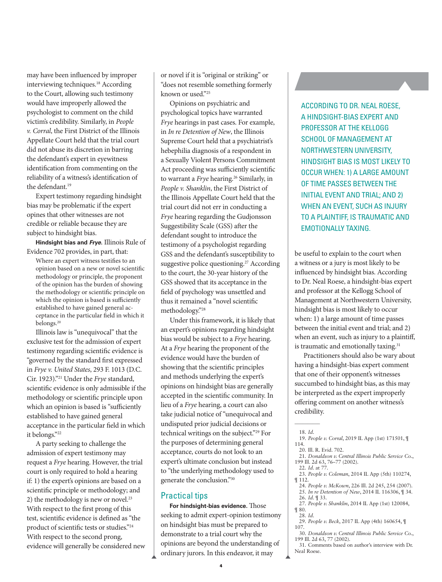may have been influenced by improper interviewing techniques.18 According to the Court, allowing such testimony would have improperly allowed the psychologist to comment on the child victim's credibility. Similarly, in *People v. Corral*, the First District of the Illinois Appellate Court held that the trial court did not abuse its discretion in barring the defendant's expert in eyewitness identification from commenting on the reliability of a witness's identification of the defendant.<sup>19</sup>

Expert testimony regarding hindsight bias may be problematic if the expert opines that other witnesses are not credible or reliable because they are subject to hindsight bias.

**Hindsight bias and** *Frye***.** Illinois Rule of Evidence 702 provides, in part, that:

Where an expert witness testifies to an opinion based on a new or novel scientific methodology or principle, the proponent of the opinion has the burden of showing the methodology or scientific principle on which the opinion is based is sufficiently established to have gained general acceptance in the particular field in which it belongs.20

Illinois law is "unequivocal" that the exclusive test for the admission of expert testimony regarding scientific evidence is "governed by the standard first expressed in *Frye v. United States*, 293 F. 1013 (D.C. Cir. 1923)."21 Under the *Frye* standard, scientific evidence is only admissible if the methodology or scientific principle upon which an opinion is based is "sufficiently established to have gained general acceptance in the particular field in which it belongs."22

A party seeking to challenge the admission of expert testimony may request a *Frye* hearing. However, the trial court is only required to hold a hearing if: 1) the expert's opinions are based on a scientific principle or methodology; and 2) the methodology is new or novel. $23$ With respect to the first prong of this test, scientific evidence is defined as "the product of scientific tests or studies."24 With respect to the second prong, evidence will generally be considered new or novel if it is "original or striking" or "does not resemble something formerly known or used."25

Opinions on psychiatric and psychological topics have warranted *Frye* hearings in past cases. For example, in *In re Detention of New*, the Illinois Supreme Court held that a psychiatrist's hebephilia diagnosis of a respondent in a Sexually Violent Persons Commitment Act proceeding was sufficiently scientific to warrant a **Frye** hearing.<sup>26</sup> Similarly, in *People v. Shanklin*, the First District of the Illinois Appellate Court held that the trial court did not err in conducting a *Frye* hearing regarding the Gudjonsson Suggestibility Scale (GSS) after the defendant sought to introduce the testimony of a psychologist regarding GSS and the defendant's susceptibility to suggestive police questioning.<sup>27</sup> According to the court, the 30-year history of the GSS showed that its acceptance in the field of psychology was unsettled and thus it remained a "novel scientific methodology."28

Under this framework, it is likely that an expert's opinions regarding hindsight bias would be subject to a *Frye* hearing. At a *Frye* hearing the proponent of the evidence would have the burden of showing that the scientific principles and methods underlying the expert's opinions on hindsight bias are generally accepted in the scientific community. In lieu of a *Frye* hearing, a court can also take judicial notice of "unequivocal and undisputed prior judicial decisions or technical writings on the subject."29 For the purposes of determining general acceptance, courts do not look to an expert's ultimate conclusion but instead to "the underlying methodology used to generate the conclusion."30

### Practical tips

**For hindsight-bias evidence.** Those seeking to admit expert-opinion testimony on hindsight bias must be prepared to demonstrate to a trial court why the opinions are beyond the understanding of ordinary jurors. In this endeavor, it may

ACCORDING TO DR. NEAL ROESE, A HINDSIGHT-BIAS EXPERT AND PROFESSOR AT THE KELLOGG SCHOOL OF MANAGEMENT AT NORTHWESTERN UNIVERSITY, HINDSIGHT BIAS IS MOST LIKELY TO OCCUR WHEN: 1) A LARGE AMOUNT OF TIME PASSES BETWEEN THE INITIAL EVENT AND TRIAL; AND 2) WHEN AN EVENT, SUCH AS INJURY TO A PLAINTIFF, IS TRAUMATIC AND EMOTIONALLY TAXING.

be useful to explain to the court when a witness or a jury is most likely to be influenced by hindsight bias. According to Dr. Neal Roese, a hindsight-bias expert and professor at the Kellogg School of Management at Northwestern University, hindsight bias is most likely to occur when: 1) a large amount of time passes between the initial event and trial; and 2) when an event, such as injury to a plaintiff, is traumatic and emotionally taxing.<sup>31</sup>

Practitioners should also be wary about having a hindsight-bias expert comment that one of their opponent's witnesses succumbed to hindsight bias, as this may be interpreted as the expert improperly offering comment on another witness's credibility.

- 21. *Donaldson v. Central Illinois Public Service Co.*, 199 Ill. 2d 63, 76–77 (2002). 22. *Id*. at 77.
- 23. *People v. Coleman*, 2014 IL App (5th) 110274, ¶ 112.
	- 24. *People v. McKown*, 226 Ill. 2d 245, 254 (2007). 25. *In re Detention of New*, 2014 IL 116306, ¶ 34.
- 26. *Id*. ¶ 33.
- 27. *People v. Shanklin*, 2014 IL App (1st) 120084, ¶ 80.
- 28. *Id*.
- 29. *People v. Beck*, 2017 IL App (4th) 160654, ¶ 107.
- 30. *Donaldson v. Central Illinois Public Service Co.*, 199 Ill. 2d 63, 77 (2002).
- 31. Comments based on author's interview with Dr. Neal Roese.

 $\overline{\phantom{a}}$ 18. *Id*.

<sup>19.</sup> *People v. Corral*, 2019 IL App (1st) 171501, ¶ 114.

<sup>20.</sup> Ill. R. Evid. 702.